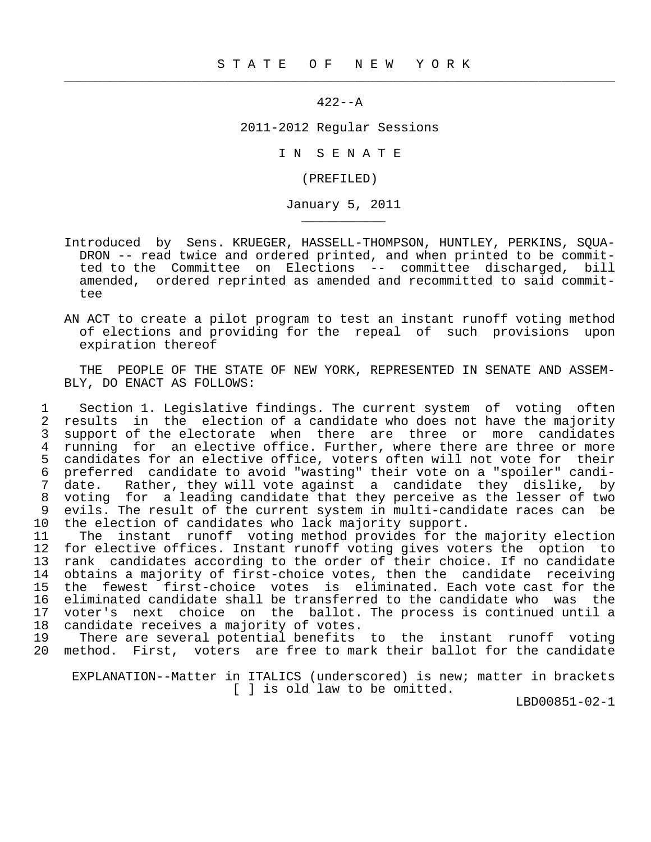$422 - -A$ 

 $\frac{1}{2}$  , and the contribution of the contribution of the contribution of the contribution of the contribution of the contribution of the contribution of the contribution of the contribution of the contribution of the c

\_\_\_\_\_\_\_\_\_\_\_

2011-2012 Regular Sessions

I N S E N A T E

(PREFILED)

January 5, 2011

- Introduced by Sens. KRUEGER, HASSELL-THOMPSON, HUNTLEY, PERKINS, SQUA- DRON -- read twice and ordered printed, and when printed to be commit ted to the Committee on Elections -- committee discharged, bill amended, ordered reprinted as amended and recommitted to said committee
- AN ACT to create a pilot program to test an instant runoff voting method of elections and providing for the repeal of such provisions upon expiration thereof

 THE PEOPLE OF THE STATE OF NEW YORK, REPRESENTED IN SENATE AND ASSEM- BLY, DO ENACT AS FOLLOWS:

1 Section 1. Legislative findings. The current system of voting often<br>2 results in the election of a candidate who does not have the majority 2 results in the election of a candidate who does not have the majority<br>3 support of the electorate when there are three or more candidates 3 support of the electorate when there are three or more candidates<br>4 running for an elective office. Further, where there are three or more 4 running for an elective office. Further, where there are three or more<br>5 candidates for an elective office, voters often will not vote for their 5 candidates for an elective office, voters often will not vote for their<br>6 preferred candidate to avoid "wasting" their vote on a "spoiler" candi- 6 preferred candidate to avoid "wasting" their vote on a "spoiler" candi- 7 date. Rather, they will vote against a candidate they dislike, by 8 voting for a leading candidate that they perceive as the lesser of two<br>9 evils. The result of the current system in multi-candidate races can be 9 evils. The result of the current system in multi-candidate races can be<br>10 the election of candidates who lack majority support. the election of candidates who lack majority support.

 11 The instant runoff voting method provides for the majority election 12 for elective offices. Instant runoff voting gives voters the option to<br>13 rank, candidates according to the order of their choice. If no candidate 13 rank candidates according to the order of their choice. If no candidate<br>14 obtains a majority of first-choice votes, then the candidate receiving 14 obtains a majority of first-choice votes, then the candidate receiving<br>15 the fewest first-choice votes is eliminated. Each vote cast for the 15 the fewest first-choice votes is eliminated. Each vote cast for the<br>16 eliminated candidate shall be transferred to the candidate who was the 16 eliminated candidate shall be transferred to the candidate who was the<br>17 voter's next choice on the ballot. The process is continued until a 17 voter's next choice on the ballot. The process is continued until a<br>18 candidate receives a majority of votes. 18 candidate receives a majority of votes.<br>19 There are several potential benefits

There are several potential benefits to the instant runoff voting 20 method. First, voters are free to mark their ballot for the candidate

 EXPLANATION--Matter in ITALICS (underscored) is new; matter in brackets [ ] is old law to be omitted.

LBD00851-02-1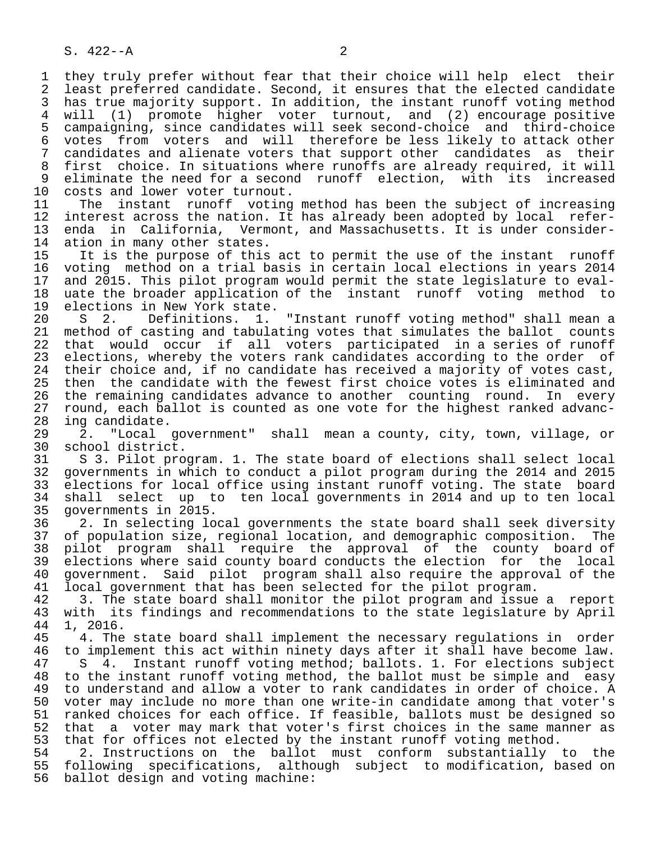1 they truly prefer without fear that their choice will help elect their<br>2 least preferred candidate. Second, it ensures that the elected candidate 2 least preferred candidate. Second, it ensures that the elected candidate<br>3 has true majority support. In addition, the instant runoff voting method 3 has true majority support. In addition, the instant runoff voting method<br>4 will (1) promote higher voter turnout, and (2) encourage positive 4 will (1) promote higher voter turnout, and (2) encourage positive 5 campaigning, since candidates will seek second-choice and third-choice<br>6 votes from voters and will therefore be less likely to attack other 6 votes from voters and will therefore be less likely to attack other<br>7 candidates and alienate voters that support other candidates as their 7 candidates and alienate voters that support other candidates as their<br>8 first choice. In situations where runoffs are already required, it will 8 first choice. In situations where runoffs are already required, it will<br>9 eliminate the need for a second runoff election, with its increased 9 eliminate the need for a second runoff election, with its increased<br>10 costs and lower voter turnout.

10 costs and lower voter turnout.<br>11 The instant runoff voting 11 The instant runoff voting method has been the subject of increasing<br>12 interest across the nation. It has already been adopted by local refer-12 interest across the nation. It has already been adopted by local refer-<br>13 enda in California, Vermont, and Massachusetts. It is under consider-13 enda in California, Vermont, and Massachusetts. It is under consider-<br>14 ation in many other states. 14 ation in many other states.<br>15 It is the purpose of this

15 It is the purpose of this act to permit the use of the instant runoff<br>16 voting method on a trial basis in certain local elections in years 2014 16 voting method on a trial basis in certain local elections in years 2014<br>17 and 2015. This pilot program would permit the state legislature to eval-17 and 2015. This pilot program would permit the state legislature to eval-<br>18 uate the broader application of the instant runoff voting method to 18 uate the broader application of the instant runoff voting method to<br>19 elections in New York state. 19 elections in New York state.<br>20 S 2. Definitions. 1.

20 S 2. Definitions. 1. "Instant runoff voting method" shall mean a<br>21 method of casting and tabulating votes that simulates the ballot counts 21 method of casting and tabulating votes that simulates the ballot counts<br>22 that would occur if all voters participated in a series of runoff 22 that would occur if all voters participated in a series of runoff<br>23 elections, whereby the voters rank candidates according to the order of 23 elections, whereby the voters rank candidates according to the order of<br>24 their choice and, if no candidate has received a majority of votes cast, 24 their choice and, if no candidate has received a majority of votes cast,<br>25 then the candidate with the fewest first choice votes is eliminated and then the candidate with the fewest first choice votes is eliminated and 26 the remaining candidates advance to another counting round. In every 27 round, each ballot is counted as one vote for the highest ranked advanc-<br>28 ing candidate.

28 ing candidate.<br>29 2. "Local 29 2. "Local government" shall mean a county, city, town, village, or

30 school district.<br>31 S 3. Pilot pro 31 S 3. Pilot program. 1. The state board of elections shall select local<br>32 governments in which to conduct a pilot program during the 2014 and 2015 32 governments in which to conduct a pilot program during the 2014 and 2015<br>33 elections for local office using instant runoff voting. The state board 33 elections for local office using instant runoff voting. The state board<br>34 shall select up to ten local governments in 2014 and up to ten local 34 shall select up to ten local governments in 2014 and up to ten local<br>35 governments in 2015. 35 governments in 2015.<br>36 2. In selecting lo

36 2. In selecting local governments the state board shall seek diversity<br>37 of population size, regional location, and demographic composition. The 37 of population size, regional location, and demographic composition. The 38 pilot program shall require the approval of the county board of<br>39 elections where said county board conducts the election for the local 39 elections where said county board conducts the election for the local<br>40 government. Said pilot program shall also require the approval of the 40 government. Said pilot program shall also require the approval of the 41 local government that has been selected for the pilot program. 41 local government that has been selected for the pilot program.<br>42 3. The state board shall monitor the pilot program and issue

42 3. The state board shall monitor the pilot program and issue a report<br>43 with its findings and recommendations to the state legislature by April 43 with its findings and recommendations to the state legislature by April 44 1. 2016.

 44 1, 2016. 4. The state board shall implement the necessary regulations in order 46 to implement this act within ninety days after it shall have become law.<br>47 S 4. Instant runoff voting method; ballots. 1. For elections subject S 4. Instant runoff voting method; ballots. 1. For elections subject 48 to the instant runoff voting method, the ballot must be simple and easy<br>49 to understand and allow a voter to rank candidates in order of choice. A 49 to understand and allow a voter to rank candidates in order of choice. A<br>50 voter may include no more than one write-in candidate among that voter's 50 voter may include no more than one write-in candidate among that voter's<br>51 ranked choices for each office. If feasible, ballots must be designed so 51 ranked choices for each office. If feasible, ballots must be designed so<br>52 that a voter may mark that voter's first choices in the same manner as 52 that a voter may mark that voter's first choices in the same manner as<br>53 that for offices not elected by the instant runoff voting method. 53 that for offices not elected by the instant runoff voting method.<br>54 2. Instructions on the ballot must conform substantially

54 2. Instructions on the ballot must conform substantially to the<br>55 following specifications, although subject to modification, based on 55 following specifications, although subject to modification, based on<br>56 ballot design and voting machine: ballot design and voting machine: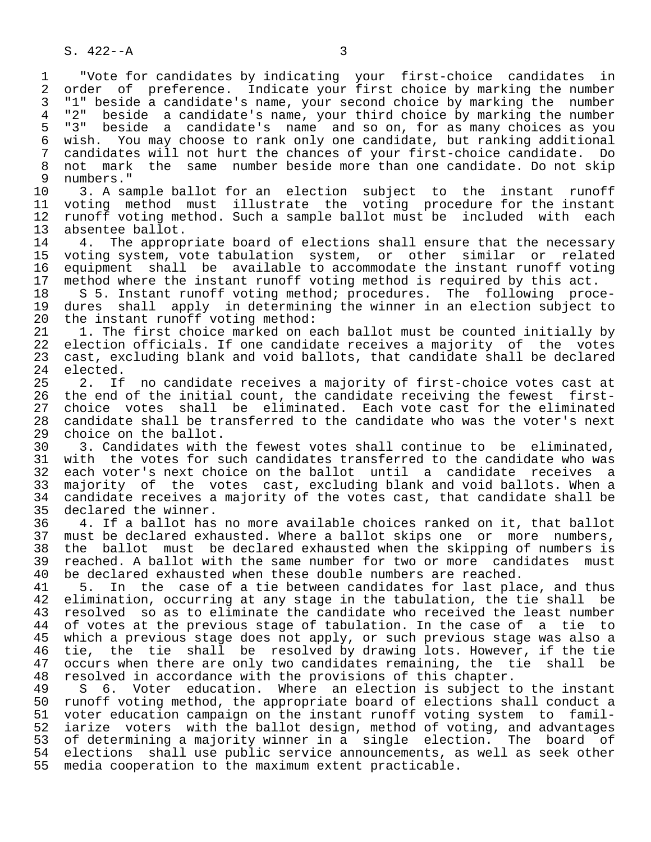1 "Vote for candidates by indicating your first-choice candidates in 2 order of preference. Indicate your first choice by marking the number 3 "1" beside a candidate's name, your second choice by marking the number<br>4 "2" beside a candidate's name, your third choice by marking the number 4 "2" beside a candidate's name, your third choice by marking the number<br>5 "3" beside a candidate's name and so on, for as many choices as you 5 "3" beside a candidate's name and so on, for as many choices as you 6 wish. You may choose to rank only one candidate, but ranking additional 7 candidates will not hurt the chances of your first-choice candidate. Do<br>8 not mark the same number beside more than one candidate. Do not skip 8 not mark the same number beside more than one candidate. Do not skip<br>9 numbers." 9 numbers."<br>10 3. A sa

10 3. A sample ballot for an election subject to the instant runoff<br>11 voting method must illustrate the voting procedure for the instant 11 voting method must illustrate the voting procedure for the instant<br>12 runoff voting method. Such a sample ballot must be included with each 12 runoff voting method. Such a sample ballot must be included with each<br>13 absentee ballot. 13 absentee ballot.<br>14 4. The approp

14 1. The appropriate board of elections shall ensure that the necessary<br>15 voting system, vote tabulation system, or other similar or related 15 voting system, vote tabulation system, or other similar or related 16 equipment shall be available to accommodate the instant runoff voting<br>17 method where the instant runoff voting method is required by this act. 17 method where the instant runoff voting method is required by this act.<br>18 S 5. Instant runoff voting method; procedures. The following proc

18 S 5. Instant runoff voting method; procedures. The following proce-<br>19 dures shall apply in determining the winner in an election subject to 19 dures shall apply in determining the winner in an election subject to<br>20 the instant runoff voting method: 20 the instant runoff voting method:<br>21 1. The first choice marked on e

21 1. The first choice marked on each ballot must be counted initially by<br>22 election officials. If one candidate receives a majority of the votes 22 election officials. If one candidate receives a majority of the votes<br>23 cast, excluding blank and void ballots, that candidate shall be declared 23 cast, excluding blank and void ballots, that candidate shall be declared<br>24 elected.

24 elected.<br>25 2. If 25 2. If no candidate receives a majority of first-choice votes cast at<br>26 the end of the initial count, the candidate receiving the fewest first- 26 the end of the initial count, the candidate receiving the fewest first- 27 choice votes shall be eliminated. Each vote cast for the eliminated<br>28 candidate shall be transferred to the candidate who was the voter's next 28 candidate shall be transferred to the candidate who was the voter's next<br>29 choice on the ballot. 29 choice on the ballot.<br>30 3. Candidates with

30 3. Candidates with the fewest votes shall continue to be eliminated,<br>31 with the votes for such candidates transferred to the candidate who was 31 with the votes for such candidates transferred to the candidate who was<br>32 each voter's next choice on the ballot until a candidate receives a 32 each voter's next choice on the ballot until a candidate receives a<br>33 majority of the votes cast, excluding blank and void ballots. When a 33 majority of the votes cast, excluding blank and void ballots. When a 34 candidate receives a majority of the votes cast, that candidate shall be 35 declared the winner. 35 declared the winner.<br>36 4. If a ballot has

 36 4. If a ballot has no more available choices ranked on it, that ballot 37 must be declared exhausted. Where a ballot skips one or more numbers,<br>38 the ballot must be declared exhausted when the skipping of numbers is 38 the ballot must be declared exhausted when the skipping of numbers is<br>39 reached. A ballot with the same number for two or more candidates must 39 reached. A ballot with the same number for two or more candidates must<br>40 be declared exhausted when these double numbers are reached. 40 be declared exhausted when these double numbers are reached.<br>41 5. In the case of a tie between candidates for last pla

41 5. In the case of a tie between candidates for last place, and thus<br>42 elimination, occurring at any stage in the tabulation, the tie shall be 42 elimination, occurring at any stage in the tabulation, the tie shall be<br>43 resolved so as to eliminate the candidate who received the least number 43 resolved so as to eliminate the candidate who received the least number<br>44 of votes at the previous stage of tabulation. In the case of a tie to 44 of votes at the previous stage of tabulation. In the case of a tie to<br>45 which a previous stage does not apply, or such previous stage was also a 45 which a previous stage does not apply, or such previous stage was also a<br>46 tie, the tie shall be resolved by drawing lots. However, if the tie 46 tie, the tie shall be resolved by drawing lots. However, if the tie<br>47 occurs when there are only two candidates remaining, the tie shall be 47 occurs when there are only two candidates remaining, the tie shall be 48 resolved in accordance with the provisions of this chapter. 48 resolved in accordance with the provisions of this chapter.

49 S 6. Voter education. Where an election is subject to the instant<br>50 runoff voting method, the appropriate board of elections shall conduct a 50 runoff voting method, the appropriate board of elections shall conduct a<br>51 voter education campaign on the instant runoff voting system to famil-51 voter education campaign on the instant runoff voting system to famil-<br>52 iarize voters with the ballot design, method of voting, and advantages iarize voters with the ballot design, method of voting, and advantages 53 of determining a majority winner in a single election. The board of 54 elections shall use public service announcements, as well as seek other 55 media cooperation to the maximum extent practicable.